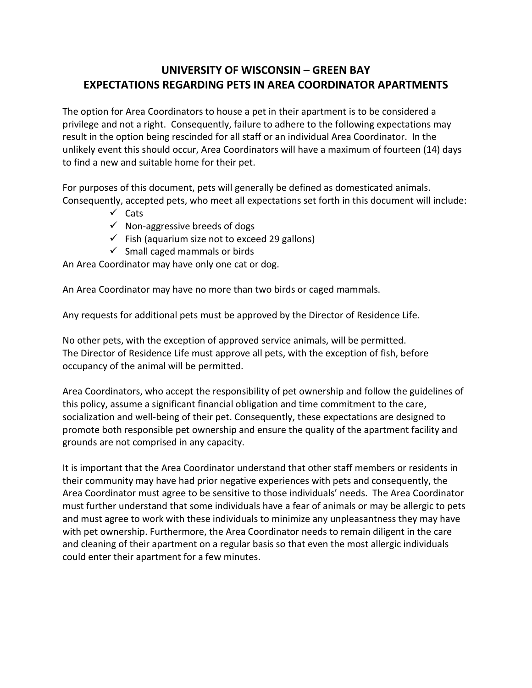## **UNIVERSITY OF WISCONSIN – GREEN BAY EXPECTATIONS REGARDING PETS IN AREA COORDINATOR APARTMENTS**

The option for Area Coordinators to house a pet in their apartment is to be considered a privilege and not a right. Consequently, failure to adhere to the following expectations may result in the option being rescinded for all staff or an individual Area Coordinator. In the unlikely event this should occur, Area Coordinators will have a maximum of fourteen (14) days to find a new and suitable home for their pet.

For purposes of this document, pets will generally be defined as domesticated animals. Consequently, accepted pets, who meet all expectations set forth in this document will include:

- $\checkmark$  Cats
- $\checkmark$  Non-aggressive breeds of dogs
- $\checkmark$  Fish (aquarium size not to exceed 29 gallons)
- $\checkmark$  Small caged mammals or birds

An Area Coordinator may have only one cat or dog.

An Area Coordinator may have no more than two birds or caged mammals.

Any requests for additional pets must be approved by the Director of Residence Life.

No other pets, with the exception of approved service animals, will be permitted. The Director of Residence Life must approve all pets, with the exception of fish, before occupancy of the animal will be permitted.

Area Coordinators, who accept the responsibility of pet ownership and follow the guidelines of this policy, assume a significant financial obligation and time commitment to the care, socialization and well-being of their pet. Consequently, these expectations are designed to promote both responsible pet ownership and ensure the quality of the apartment facility and grounds are not comprised in any capacity.

It is important that the Area Coordinator understand that other staff members or residents in their community may have had prior negative experiences with pets and consequently, the Area Coordinator must agree to be sensitive to those individuals' needs. The Area Coordinator must further understand that some individuals have a fear of animals or may be allergic to pets and must agree to work with these individuals to minimize any unpleasantness they may have with pet ownership. Furthermore, the Area Coordinator needs to remain diligent in the care and cleaning of their apartment on a regular basis so that even the most allergic individuals could enter their apartment for a few minutes.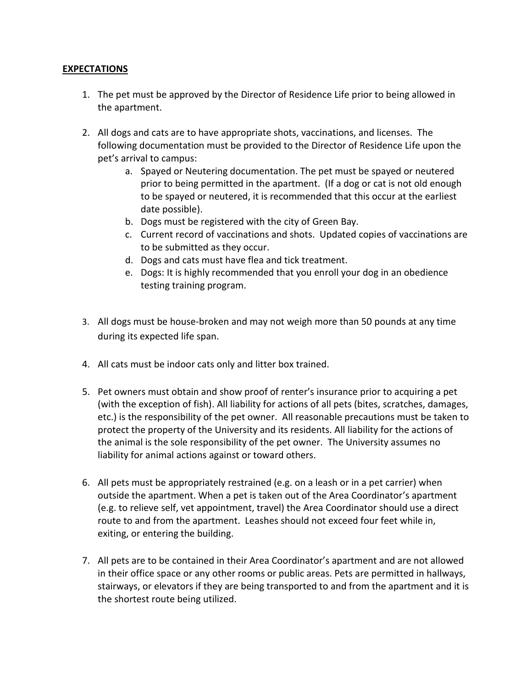## **EXPECTATIONS**

- 1. The pet must be approved by the Director of Residence Life prior to being allowed in the apartment.
- 2. All dogs and cats are to have appropriate shots, vaccinations, and licenses. The following documentation must be provided to the Director of Residence Life upon the pet's arrival to campus:
	- a. Spayed or Neutering documentation. The pet must be spayed or neutered prior to being permitted in the apartment. (If a dog or cat is not old enough to be spayed or neutered, it is recommended that this occur at the earliest date possible).
	- b. Dogs must be registered with the city of Green Bay.
	- c. Current record of vaccinations and shots. Updated copies of vaccinations are to be submitted as they occur.
	- d. Dogs and cats must have flea and tick treatment.
	- e. Dogs: It is highly recommended that you enroll your dog in an obedience testing training program.
- 3. All dogs must be house-broken and may not weigh more than 50 pounds at any time during its expected life span.
- 4. All cats must be indoor cats only and litter box trained.
- 5. Pet owners must obtain and show proof of renter's insurance prior to acquiring a pet (with the exception of fish). All liability for actions of all pets (bites, scratches, damages, etc.) is the responsibility of the pet owner. All reasonable precautions must be taken to protect the property of the University and its residents. All liability for the actions of the animal is the sole responsibility of the pet owner. The University assumes no liability for animal actions against or toward others.
- 6. All pets must be appropriately restrained (e.g. on a leash or in a pet carrier) when outside the apartment. When a pet is taken out of the Area Coordinator's apartment (e.g. to relieve self, vet appointment, travel) the Area Coordinator should use a direct route to and from the apartment. Leashes should not exceed four feet while in, exiting, or entering the building.
- 7. All pets are to be contained in their Area Coordinator's apartment and are not allowed in their office space or any other rooms or public areas. Pets are permitted in hallways, stairways, or elevators if they are being transported to and from the apartment and it is the shortest route being utilized.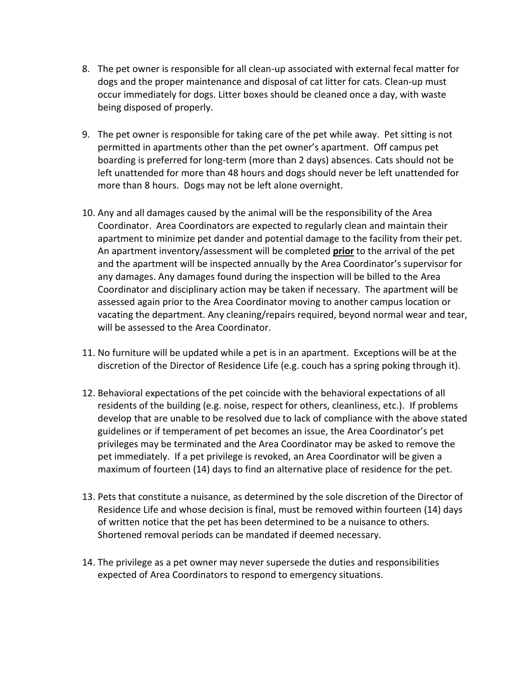- 8. The pet owner is responsible for all clean-up associated with external fecal matter for dogs and the proper maintenance and disposal of cat litter for cats. Clean-up must occur immediately for dogs. Litter boxes should be cleaned once a day, with waste being disposed of properly.
- 9. The pet owner is responsible for taking care of the pet while away. Pet sitting is not permitted in apartments other than the pet owner's apartment. Off campus pet boarding is preferred for long-term (more than 2 days) absences. Cats should not be left unattended for more than 48 hours and dogs should never be left unattended for more than 8 hours. Dogs may not be left alone overnight.
- 10. Any and all damages caused by the animal will be the responsibility of the Area Coordinator. Area Coordinators are expected to regularly clean and maintain their apartment to minimize pet dander and potential damage to the facility from their pet. An apartment inventory/assessment will be completed **prior** to the arrival of the pet and the apartment will be inspected annually by the Area Coordinator's supervisor for any damages. Any damages found during the inspection will be billed to the Area Coordinator and disciplinary action may be taken if necessary. The apartment will be assessed again prior to the Area Coordinator moving to another campus location or vacating the department. Any cleaning/repairs required, beyond normal wear and tear, will be assessed to the Area Coordinator.
- 11. No furniture will be updated while a pet is in an apartment. Exceptions will be at the discretion of the Director of Residence Life (e.g. couch has a spring poking through it).
- 12. Behavioral expectations of the pet coincide with the behavioral expectations of all residents of the building (e.g. noise, respect for others, cleanliness, etc.). If problems develop that are unable to be resolved due to lack of compliance with the above stated guidelines or if temperament of pet becomes an issue, the Area Coordinator's pet privileges may be terminated and the Area Coordinator may be asked to remove the pet immediately. If a pet privilege is revoked, an Area Coordinator will be given a maximum of fourteen (14) days to find an alternative place of residence for the pet.
- 13. Pets that constitute a nuisance, as determined by the sole discretion of the Director of Residence Life and whose decision is final, must be removed within fourteen (14) days of written notice that the pet has been determined to be a nuisance to others. Shortened removal periods can be mandated if deemed necessary.
- 14. The privilege as a pet owner may never supersede the duties and responsibilities expected of Area Coordinators to respond to emergency situations.